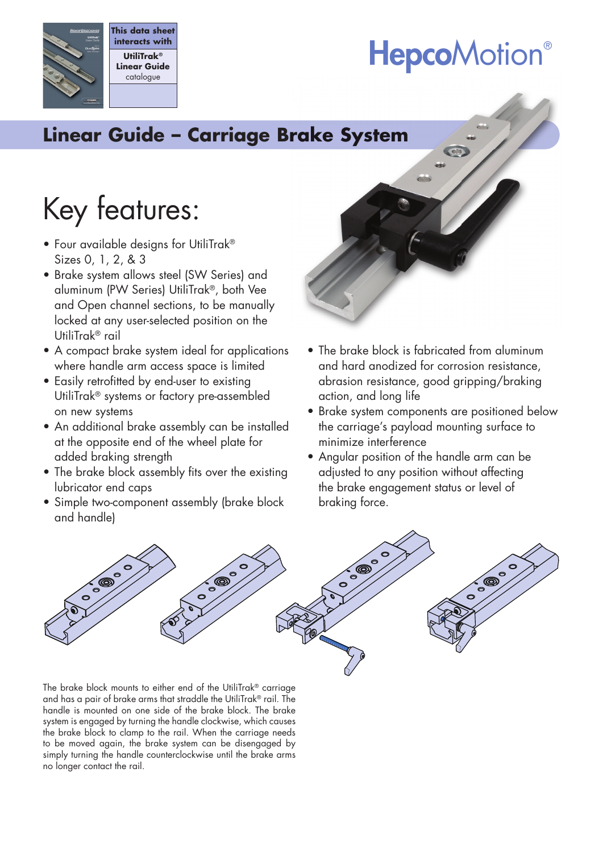## **HepcoMotion®**

## **Linear Guide – Carriage Brake System rake**

## Key features:

• Four available designs for UtiliTrak® Sizes 0, 1, 2, & 3

**This data sheet interacts with UtiliTrak® Linear Guide** catalogue

- Brake system allows steel (SW Series) and aluminum (PW Series) UtiliTrak®, both Vee and Open channel sections, to be manually locked at any user-selected position on the UtiliTrak® rail
- A compact brake system ideal for applications where handle arm access space is limited
- Easily retrofitted by end-user to existing UtiliTrak® systems or factory pre-assembled on new systems
- An additional brake assembly can be installed at the opposite end of the wheel plate for added braking strength
- The brake block assembly fits over the existing lubricator end caps
- Simple two-component assembly (brake block and handle)



- The brake block is fabricated from aluminum and hard anodized for corrosion resistance, abrasion resistance, good gripping/braking action, and long life
- Brake system components are positioned below the carriage's payload mounting surface to minimize interference
- Angular position of the handle arm can be adjusted to any position without affecting the brake engagement status or level of braking force.



The brake block mounts to either end of the UtiliTrak® carriage and has a pair of brake arms that straddle the UtiliTrak® rail. The handle is mounted on one side of the brake block. The brake system is engaged by turning the handle clockwise, which causes the brake block to clamp to the rail. When the carriage needs to be moved again, the brake system can be disengaged by simply turning the handle counterclockwise until the brake arms no longer contact the rail.